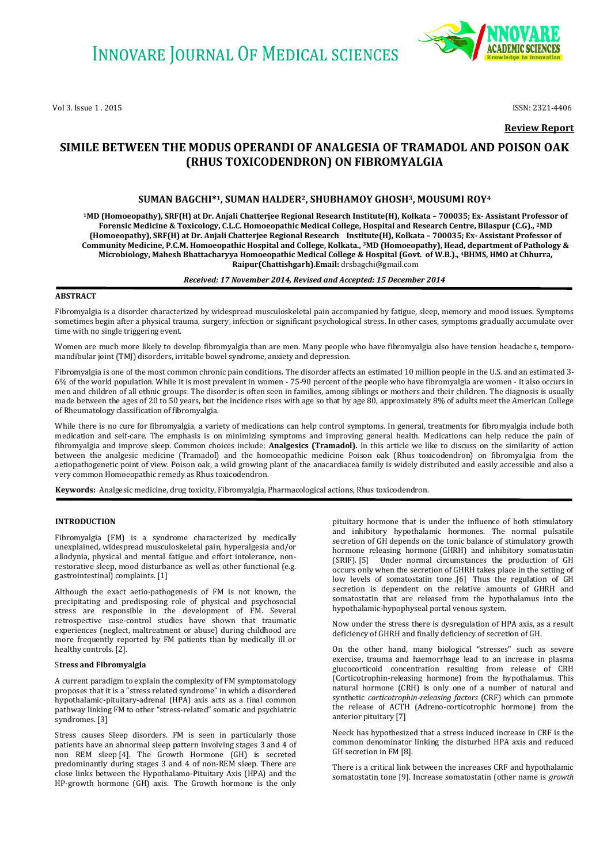Vol 3, Issue 1 , 2015 ISSN: 2321-4406



**Review Report**

# **SIMILE BETWEEN THE MODUS OPERANDI OF ANALGESIA OF TRAMADOL AND POISON OAK (RHUS TOXICODENDRON) ON FIBROMYALGIA**

## **SUMAN BAGCHI\* <sup>1</sup>, SUMAN HALDER2, SHUBHAMOY GHOSH3, MOUSUMI ROY<sup>4</sup>**

**<sup>1</sup>MD (Homoeopathy), SRF(H) at Dr. Anjali Chatterjee Regional Research Institute(H), Kolkata – 700035; Ex- Assistant Professor of Forensic Medicine & Toxicology, C.L.C. Homoeopathic Medical College, Hospital and Research Centre, Bilaspur (C.G)., 2MD (Homoeopathy), SRF(H) at Dr. Anjali Chatterjee Regional Research Institute(H), Kolkata – 700035; Ex- Assistant Professor of Community Medicine, P.C.M. Homoeopathic Hospital and College, Kolkata., 3MD (Homoeopathy), Head, department of Pathology & Microbiology, Mahesh Bhattacharyya Homoeopathic Medical College & Hospital (Govt. of W.B.)., 4BHMS, HMO at Chhurra, Raipur(Chattishgarh).Email:** [drsbagchi@gmail.com](mailto:drsbagchi@gmail.com)

*Received: 17 November 2014, Revised and Accepted: 15 December 2014*

### **ABSTRACT**

Fibromyalgia is a disorder characterized by widespread musculoskeletal pain accompanied by fatigue, sleep, memory and mood issues. Symptoms sometimes begin after a physical trauma, surgery, infection or significant psychological stress. In other cases, symptoms gradually accumulate over time with no single triggering event.

Women are much more likely to develop fibromyalgia than are men. Many people who have fibromyalgia also have tension headaches, temporomandibular joint (TMJ) disorders, irritable bowel syndrome, anxiety and depression.

Fibromyalgia is one of the most common chronic pain conditions. The disorder affects an estimated 10 million people in the U.S. and an estimated 3- 6% of the world population. While it is most prevalent in women - 75-90 percent of the people who have fibromyalgia are women - it also occurs in men and children of all ethnic groups. The disorder is often seen in families, among siblings or mothers and their children. The diagnosis is usually made between the ages of 20 to 50 years, but the incidence rises with age so that by age 80, approximately 8% of adults meet the American College of Rheumatology classification of fibromyalgia.

While there is no cure for fibromyalgia, a variety of medications can help control symptoms. In general, treatments for fibromyalgia include both medication and self-care. The emphasis is on minimizing symptoms and improving general health. Medications can help reduce the pain of fibromyalgia and improve sleep. Common choices include: **Analgesics (Tramadol).** In this article we like to discuss on the similarity of action between the analgesic medicine (Tramadol) and the homoeopathic medicine Poison oak (Rhus toxicodendron) on fibromyalgia from the aetiopathogenetic point of view. Poison oak, a wild growing plant of the anacardiacea family is widely distributed and easily accessible and also a very common Homoeopathic remedy as Rhus toxicodendron.

**Keywords:** Analgesic medicine, drug toxicity, Fibromyalgia, Pharmacological actions, Rhus toxicodendron.

## **INTRODUCTION**

Fibromyalgia (FM) is a syndrome characterized by medically unexplained, widespread musculoskeletal pain, hyperalgesia and/or allodynia, physical and mental fatigue and effort intolerance, nonrestorative sleep, mood disturbance as well as other functional (e.g. gastrointestinal) complaints. [1]

Although the exact aetio-pathogenesis of FM is not known, the precipitating and predisposing role of physical and psychosocial stress are responsible in the development of FM. Several retrospective case-control studies have shown that traumatic experiences (neglect, maltreatment or abuse) during childhood are more frequently reported by FM patients than by medically ill or healthy controls. [2].

### S**tress and Fibromyalgia**

A current paradigm to explain the complexity of FM symptomatology proposes that it is a "stress related syndrome" in which a disordered hypothalamic-pituitary-adrenal (HPA) axis acts as a final common pathway linking FM to other "stress-related" somatic and psychiatric syndromes. [3]

Stress causes Sleep disorders. FM is seen in particularly those patients have an abnormal sleep pattern involving stages 3 and 4 of non REM sleep [4]. The Growth Hormone (GH) is secreted predominantly during stages 3 and 4 of non-REM sleep. There are close links between the Hypothalamo-Pituitary Axis (HPA) and the HP-growth hormone (GH) axis. The Growth hormone is the only

pituitary hormone that is under the influence of both stimulatory and inhibitory hypothalamic hormones. The normal pulsatile secretion of GH depends on the tonic balance of stimulatory growth hormone releasing hormone (GHRH) and inhibitory somatostatin (SRIF). [5] Under normal circumstances the production of GH occurs only when the secretion of GHRH takes place in the setting of low levels of somatostatin tone .[6] Thus the regulation of GH secretion is dependent on the relative amounts of GHRH and somatostatin that are released from the hypothalamus into the hypothalamic-hypophyseal portal venous system.

Now under the stress there is dysregulation of HPA axis, as a result deficiency of GHRH and finally deficiency of secretion of GH.

On the other hand, many biological "stresses" such as severe exercise, trauma and haemorrhage lead to an increase in plasma glucocorticoid concentration resulting from release of CRH (Corticotrophin-releasing hormone) from the hypothalamus. This natural hormone (CRH) is only one of a number of natural and synthetic *corticotrophin-releasing factors* (CRF) which can promote the release of ACTH (Adreno-corticotrophic hormone) from the anterior pituitary [7]

Neeck has hypothesized that a stress induced increase in CRF is the common denominator linking the disturbed HPA axis and reduced GH secretion in FM [8].

There is a critical link between the increases CRF and hypothalamic somatostatin tone [9]. Increase somatostatin (other name is *growth*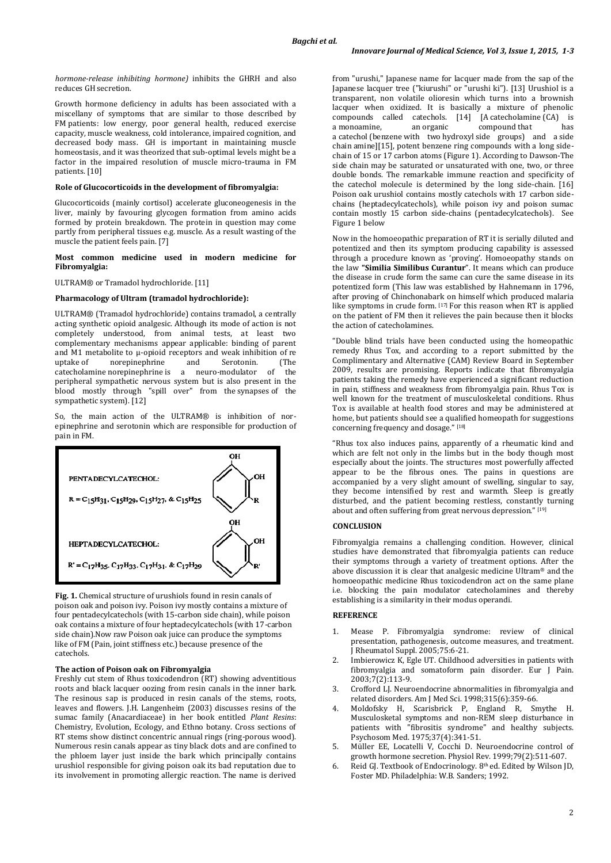*hormone-release inhibiting hormone)* inhibits the GHRH and also reduces GH secretion.

Growth hormone deficiency in adults has been associated with a miscellany of symptoms that are similar to those described by FM patients: low energy, poor general health, reduced exercise capacity, muscle weakness, cold intolerance, impaired cognition, and decreased body mass. GH is important in maintaining muscle homeostasis, and it was theorized that sub-optimal levels might be a factor in the impaired resolution of muscle micro-trauma in FM patients. [10]

## **Role of Glucocorticoids in the development of fibromyalgia:**

Glucocorticoids (mainly cortisol) accelerate gluconeogenesis in the liver, mainly by favouring glycogen formation from amino acids formed by protein breakdown. The protein in question may come partly from peripheral tissues e.g. muscle. As a result wasting of the muscle the patient feels pain. [7]

## **Most common medicine used in modern medicine for Fibromyalgia:**

ULTRAM® or Tramadol hydrochloride. [11]

#### **Pharmacology of Ultram (tramadol hydrochloride):**

ULTRAM® (Tramadol hydrochloride) contains tramadol, a centrally acting synthetic opioid analgesic. Although its mode of action is not completely understood, from animal tests, at least two complementary mechanisms appear applicable: binding of parent and M1 metabolite to μ-opioid receptors and weak inhibition of [re](http://www.rxlist.com/script/main/art.asp?articlekey=25241) [uptake](http://www.rxlist.com/script/main/art.asp?articlekey=25241) of norepinephrine and Serotonin. (The catecholamine norepinephrine is a neuro-modulator of the catecholamine norepinephrine is a neuro-modulator peripheral sympathetic nervous system but is also present in the blood mostly through "spill over" from the synapses of the sympathetic system). [12]

So, the main action of the ULTRAM® is inhibition of norepinephrine and serotonin which are responsible for production of pain in FM.



**Fig. 1.** Chemical structure of urushiols found in resin canals of poison oak and poison ivy. Poison ivy mostly contains a mixture of four pentadecylcatechols (with 15-carbon side chain), while poison oak contains a mixture of four heptadecylcatechols (with 17-carbon side chain).Now raw Poison oak juice can produce the symptoms like of FM (Pain, joint stiffness etc.) because presence of the catechols.

#### **The action of Poison oak on Fibromyalgia**

Freshly cut stem of Rhus toxicodendron (RT) showing adventitious roots and black lacquer oozing from resin canals in the inner bark. The resinous sap is produced in resin canals of the stems, roots, leaves and flowers. J.H. Langenheim (2003) discusses resins of the sumac family (Anacardiaceae) in her book entitled *Plant Resins*: Chemistry, Evolution, Ecology, and Ethno botany. Cross sections of RT stems show distinct concentric annual rings (ring-porous wood). Numerous resin canals appear as tiny black dots and are confined to the phloem layer just inside the bark which principally contains urushiol responsible for giving poison oak its bad reputation due to its involvement in promoting allergic reaction. The name is derived from "urushi," Japanese name for lacquer made from the sap of the Japanese lacquer tree ("kiurushi" or "urushi ki"). [13] Urushiol is a transparent, non volatile olioresin which turns into a brownish lacquer when oxidized. It is basically a mixture of phenolic compounds called catechols. [14] [A catecholamine (CA) is a monoamine, an organic compound that has a catechol (benzene with two hydroxyl side groups) and a side chain amine][15], potent benzene ring compounds with a long sidechain of 15 or 17 carbon atoms (Figure 1). According to Dawson-The side chain may be saturated or unsaturated with one, two, or three double bonds. The remarkable immune reaction and specificity of the catechol molecule is determined by the long side-chain. [16] Poison oak urushiol contains mostly catechols with 17 carbon sidechains (heptadecylcatechols), while poison ivy and poison sumac contain mostly 15 carbon side-chains (pentadecylcatechols). See Figure 1 below

Now in the homoeopathic preparation of RT it is serially diluted and potentized and then its symptom producing capability is assessed through a procedure known as 'proving'. Homoeopathy stands on the law **"Similia Similibus Curantur**". It means which can produce the disease in crude form the same can cure the same disease in its potentized form (This law was established by Hahnemann in 1796, after proving of Chinchonabark on himself which produced malaria like symptoms in crude form.  $[17]$  For this reason when RT is applied on the patient of FM then it relieves the pain because then it blocks the action of catecholamines.

"Double blind trials have been conducted using the homeopathic remedy Rhus Tox, and according to a report submitted by the Complimentary and Alternative (CAM) Review Board in September 2009, results are promising. Reports indicate that fibromyalgia patients taking the remedy have experienced a significant reduction in pain, stiffness and weakness from fibromyalgia pain. Rhus Tox is well known for the treatment of musculoskeletal conditions. Rhus Tox is available at health food stores and may be administered at home, but patients should see a qualified homeopath for suggestions concerning frequency and dosage." [18]

"Rhus tox also induces pains, apparently of a rheumatic kind and which are felt not only in the limbs but in the body though most especially about the joints. The structures most powerfully affected appear to be the fibrous ones. The pains in questions are accompanied by a very slight amount of swelling, singular to say, they become intensified by rest and warmth. Sleep is greatly disturbed, and the patient becoming restless, constantly turning about and often suffering from great nervous depression." [19]

#### **CONCLUSION**

Fibromyalgia remains a challenging condition. However, clinical studies have demonstrated that fibromyalgia patients can reduce their symptoms through a variety of treatment options. After the above discussion it is clear that analgesic medicine Ultram® and the homoeopathic medicine Rhus toxicodendron act on the same plane i.e. blocking the pain modulator catecholamines and thereby establishing is a similarity in their modus operandi.

## **REFERENCE**

- 1. Mease P. Fibromyalgia syndrome: review of clinical presentation, pathogenesis, outcome measures, and treatment. J Rheumatol Suppl. 2005;75:6-21.
- 2. Imbierowicz K, Egle UT. Childhood adversities in patients with fibromyalgia and somatoform pain disorder. Eur J Pain. 2003;7(2):113-9.
- 3. Crofford LJ. Neuroendocrine abnormalities in fibromyalgia and related disorders. Am J Med Sci. 1998;315(6):359-66.
- 4. Moldofsky H, Scarisbrick P, England R, Smythe H. Musculosketal symptoms and non-REM sleep disturbance in patients with "fibrositis syndrome" and healthy subjects. Psychosom Med. 1975;37(4):341-51.
- 5. Müller EE, Locatelli V, Cocchi D. Neuroendocrine control of growth hormone secretion. Physiol Rev. 1999;79(2):511-607.
- 6. Reid GJ. Textbook of Endocrinology. 8th ed. Edited by Wilson JD, Foster MD. Philadelphia: W.B. Sanders; 1992.